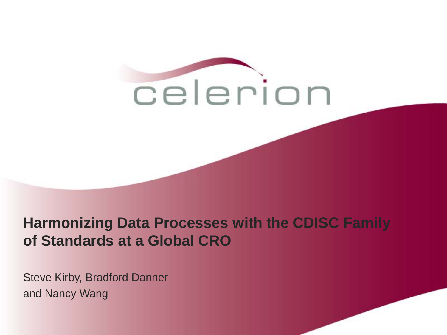

### **Harmonizing Data Processes with the CDISC Family of Standards at a Global CRO**

Steve Kirby, Bradford Danner and Nancy Wang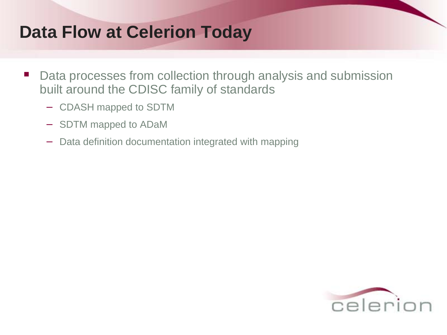## **Data Flow at Celerion Today**

- Data processes from collection through analysis and submission built around the CDISC family of standards
	- − CDASH mapped to SDTM
	- − SDTM mapped to ADaM
	- − Data definition documentation integrated with mapping

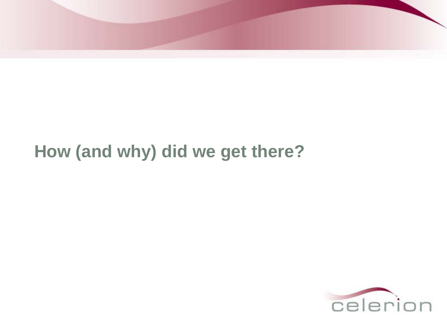

## **How (and why) did we get there?**

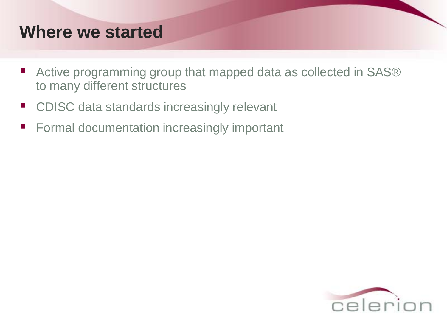## **Where we started**

- Active programming group that mapped data as collected in SAS<sup>®</sup> to many different structures
- CDISC data standards increasingly relevant
- **Formal documentation increasingly important**

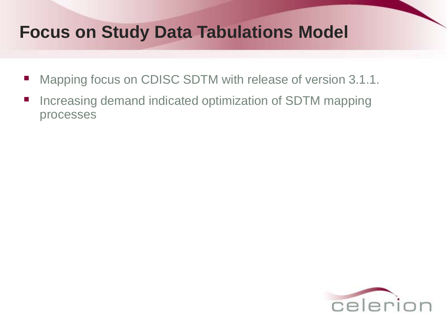## **Focus on Study Data Tabulations Model**

- Mapping focus on CDISC SDTM with release of version 3.1.1.
- **Increasing demand indicated optimization of SDTM mapping** processes

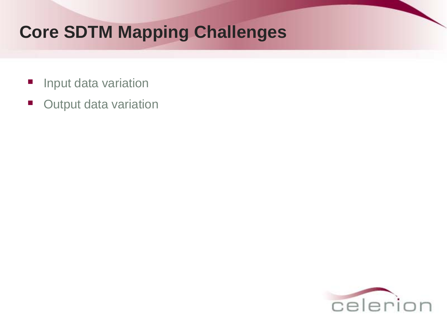## **Core SDTM Mapping Challenges**

- **Input data variation**
- **Output data variation**

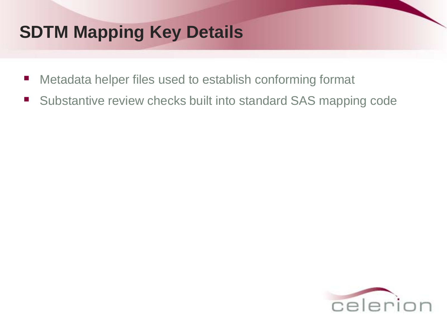## **SDTM Mapping Key Details**

- Metadata helper files used to establish conforming format
- Substantive review checks built into standard SAS mapping code

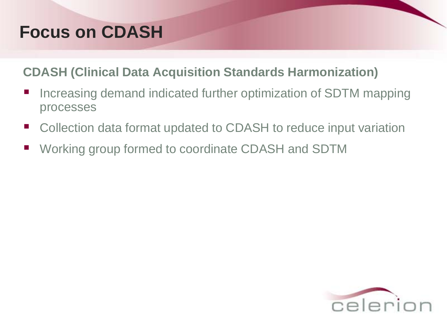## **Focus on CDASH**

#### **CDASH (Clinical Data Acquisition Standards Harmonization)**

- Increasing demand indicated further optimization of SDTM mapping processes
- Collection data format updated to CDASH to reduce input variation
- Working group formed to coordinate CDASH and SDTM

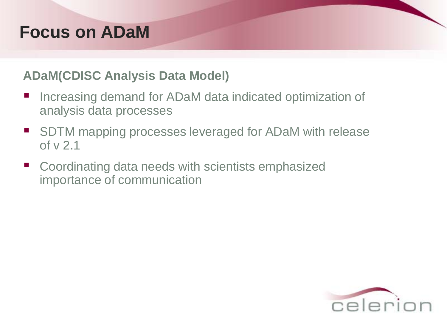## **Focus on ADaM**

#### **ADaM(CDISC Analysis Data Model)**

- Increasing demand for ADaM data indicated optimization of analysis data processes
- SDTM mapping processes leveraged for ADaM with release of v 2.1
- Coordinating data needs with scientists emphasized importance of communication

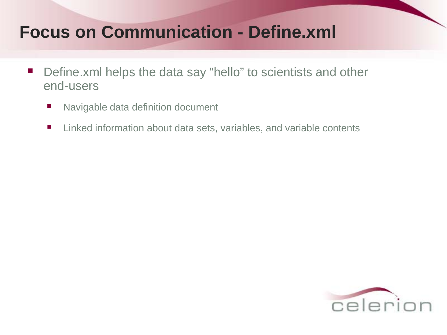## **Focus on Communication - Define.xml**

- **•** Define.xml helps the data say "hello" to scientists and other end-users
	- Navigable data definition document
	- Linked information about data sets, variables, and variable contents

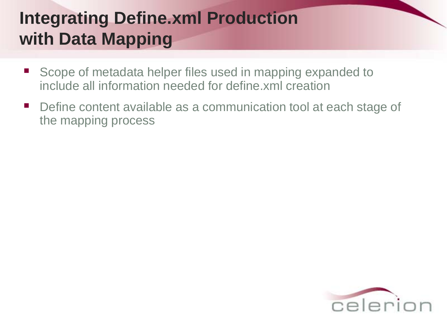## **Integrating Define.xml Production with Data Mapping**

- Scope of metadata helper files used in mapping expanded to include all information needed for define.xml creation
- Define content available as a communication tool at each stage of the mapping process

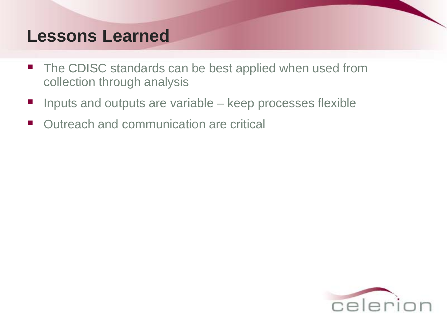## **Lessons Learned**

- The CDISC standards can be best applied when used from collection through analysis
- Inputs and outputs are variable keep processes flexible
- Outreach and communication are critical

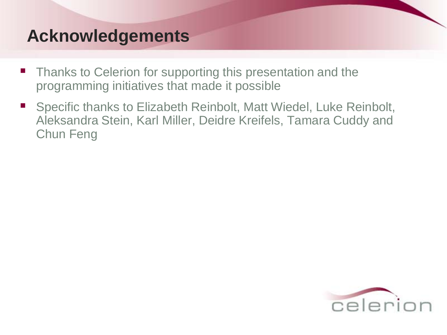## **Acknowledgements**

- Thanks to Celerion for supporting this presentation and the programming initiatives that made it possible
- Specific thanks to Elizabeth Reinbolt, Matt Wiedel, Luke Reinbolt, Aleksandra Stein, Karl Miller, Deidre Kreifels, Tamara Cuddy and Chun Feng